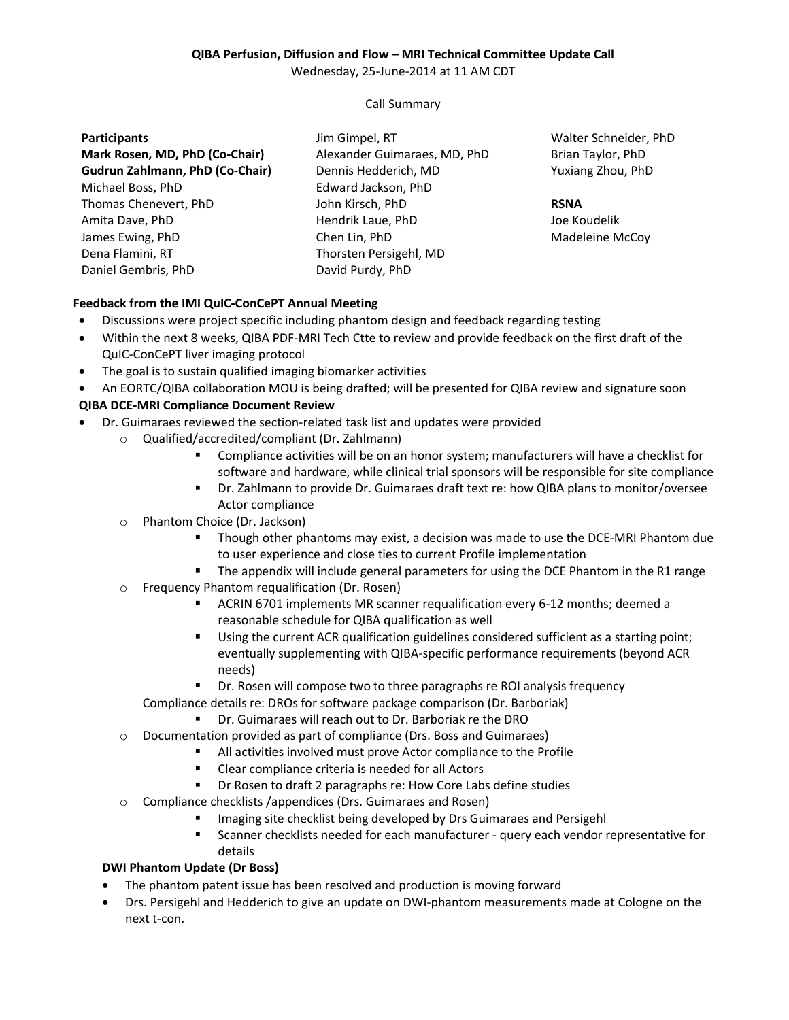### **QIBA Perfusion, Diffusion and Flow – MRI Technical Committee Update Call**

Wednesday, 25-June-2014 at 11 AM CDT

#### Call Summary

#### **Participants**

**Mark Rosen, MD, PhD (Co-Chair) Gudrun Zahlmann, PhD (Co-Chair)** Michael Boss, PhD Thomas Chenevert, PhD Amita Dave, PhD James Ewing, PhD Dena Flamini, RT Daniel Gembris, PhD

Jim Gimpel, RT Alexander Guimaraes, MD, PhD Dennis Hedderich, MD Edward Jackson, PhD John Kirsch, PhD Hendrik Laue, PhD Chen Lin, PhD Thorsten Persigehl, MD David Purdy, PhD

Walter Schneider, PhD Brian Taylor, PhD Yuxiang Zhou, PhD

#### **RSNA**

Joe Koudelik Madeleine McCoy

#### **Feedback from the IMI QuIC-ConCePT Annual Meeting**

- Discussions were project specific including phantom design and feedback regarding testing
- Within the next 8 weeks, QIBA PDF-MRI Tech Ctte to review and provide feedback on the first draft of the QuIC-ConCePT liver imaging protocol
- The goal is to sustain qualified imaging biomarker activities
- An EORTC/QIBA collaboration MOU is being drafted; will be presented for QIBA review and signature soon

## **QIBA DCE-MRI Compliance Document Review**

- Dr. Guimaraes reviewed the section-related task list and updates were provided
	- o Qualified/accredited/compliant (Dr. Zahlmann)
		- Compliance activities will be on an honor system; manufacturers will have a checklist for software and hardware, while clinical trial sponsors will be responsible for site compliance
		- Dr. Zahlmann to provide Dr. Guimaraes draft text re: how QIBA plans to monitor/oversee Actor compliance
	- o Phantom Choice (Dr. Jackson)
		- Though other phantoms may exist, a decision was made to use the DCE-MRI Phantom due to user experience and close ties to current Profile implementation
		- **The appendix will include general parameters for using the DCE Phantom in the R1 range**
	- o Frequency Phantom requalification (Dr. Rosen)
		- ACRIN 6701 implements MR scanner requalification every 6-12 months; deemed a reasonable schedule for QIBA qualification as well
		- Using the current ACR qualification guidelines considered sufficient as a starting point; eventually supplementing with QIBA-specific performance requirements (beyond ACR needs)
		- Dr. Rosen will compose two to three paragraphs re ROI analysis frequency
		- Compliance details re: DROs for software package comparison (Dr. Barboriak)
			- Dr. Guimaraes will reach out to Dr. Barboriak re the DRO
	- o Documentation provided as part of compliance (Drs. Boss and Guimaraes)
		- All activities involved must prove Actor compliance to the Profile
		- Clear compliance criteria is needed for all Actors
		- **Dr Rosen to draft 2 paragraphs re: How Core Labs define studies**
	- o Compliance checklists /appendices (Drs. Guimaraes and Rosen)
		- Imaging site checklist being developed by Drs Guimaraes and Persigehl
		- Scanner checklists needed for each manufacturer query each vendor representative for
			- details

#### **DWI Phantom Update (Dr Boss)**

- The phantom patent issue has been resolved and production is moving forward
- Drs. Persigehl and Hedderich to give an update on DWI-phantom measurements made at Cologne on the next t-con.